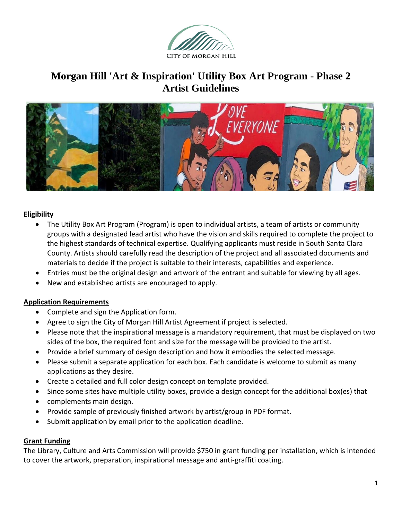

# **Morgan Hill 'Art & Inspiration' Utility Box Art Program - Phase 2 Artist Guidelines**



#### **Eligibility**

- The Utility Box Art Program (Program) is open to individual artists, a team of artists or community groups with a designated lead artist who have the vision and skills required to complete the project to the highest standards of technical expertise. Qualifying applicants must reside in South Santa Clara County. Artists should carefully read the description of the project and all associated documents and materials to decide if the project is suitable to their interests, capabilities and experience.
- Entries must be the original design and artwork of the entrant and suitable for viewing by all ages.
- New and established artists are encouraged to apply.

#### **Application Requirements**

- Complete and sign the Application form.
- Agree to sign the City of Morgan Hill Artist Agreement if project is selected.
- Please note that the inspirational message is a mandatory requirement, that must be displayed on two sides of the box, the required font and size for the message will be provided to the artist.
- Provide a brief summary of design description and how it embodies the selected message.
- Please submit a separate application for each box. Each candidate is welcome to submit as many applications as they desire.
- Create a detailed and full color design concept on template provided.
- Since some sites have multiple utility boxes, provide a design concept for the additional box(es) that
- complements main design.
- Provide sample of previously finished artwork by artist/group in PDF format.
- Submit application by email prior to the application deadline.

#### **Grant Funding**

The Library, Culture and Arts Commission will provide \$750 in grant funding per installation, which is intended to cover the artwork, preparation, inspirational message and anti-graffiti coating.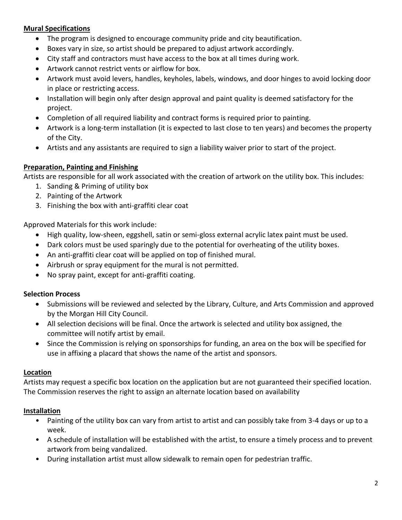## **Mural Specifications**

- The program is designed to encourage community pride and city beautification.
- Boxes vary in size, so artist should be prepared to adjust artwork accordingly.
- City staff and contractors must have access to the box at all times during work.
- Artwork cannot restrict vents or airflow for box.
- Artwork must avoid levers, handles, keyholes, labels, windows, and door hinges to avoid locking door in place or restricting access.
- Installation will begin only after design approval and paint quality is deemed satisfactory for the project.
- Completion of all required liability and contract forms is required prior to painting.
- Artwork is a long-term installation (it is expected to last close to ten years) and becomes the property of the City.
- Artists and any assistants are required to sign a liability waiver prior to start of the project.

#### **Preparation, Painting and Finishing**

Artists are responsible for all work associated with the creation of artwork on the utility box. This includes:

- 1. Sanding & Priming of utility box
- 2. Painting of the Artwork
- 3. Finishing the box with anti-graffiti clear coat

Approved Materials for this work include:

- High quality, low-sheen, eggshell, satin or semi-gloss external acrylic latex paint must be used.
- Dark colors must be used sparingly due to the potential for overheating of the utility boxes.
- An anti-graffiti clear coat will be applied on top of finished mural.
- Airbrush or spray equipment for the mural is not permitted.
- No spray paint, except for anti-graffiti coating.

#### **Selection Process**

- Submissions will be reviewed and selected by the Library, Culture, and Arts Commission and approved by the Morgan Hill City Council.
- All selection decisions will be final. Once the artwork is selected and utility box assigned, the committee will notify artist by email.
- Since the Commission is relying on sponsorships for funding, an area on the box will be specified for use in affixing a placard that shows the name of the artist and sponsors.

#### **Location**

Artists may request a specific box location on the application but are not guaranteed their specified location. The Commission reserves the right to assign an alternate location based on availability

#### **Installation**

- Painting of the utility box can vary from artist to artist and can possibly take from 3-4 days or up to a week.
- A schedule of installation will be established with the artist, to ensure a timely process and to prevent artwork from being vandalized.
- During installation artist must allow sidewalk to remain open for pedestrian traffic.